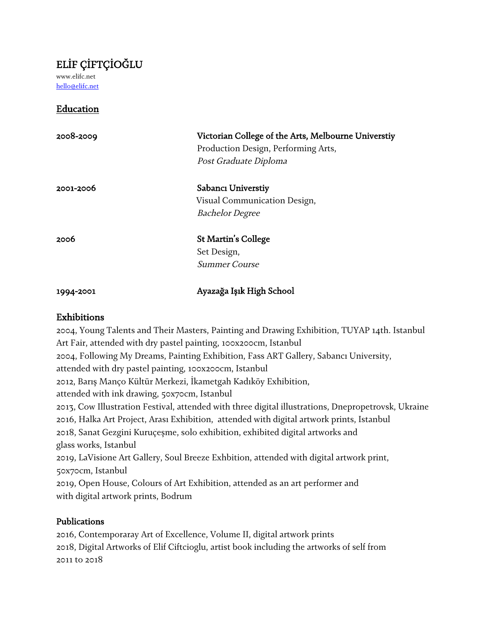## ELİF ÇİFTÇİOĞLU

www.elifc.net hello@elifc.net

## Education

| 2008-2009 | Victorian College of the Arts, Melbourne Universtiy<br>Production Design, Performing Arts,<br>Post Graduate Diploma |
|-----------|---------------------------------------------------------------------------------------------------------------------|
| 2001-2006 | Sabanci Universtiy                                                                                                  |
|           | Visual Communication Design,                                                                                        |
|           | <b>Bachelor Degree</b>                                                                                              |
| 2006      | St Martin's College                                                                                                 |
|           | Set Design,                                                                                                         |
|           | Summer Course                                                                                                       |
| 1994-2001 | Ayazağa Işık High School                                                                                            |

### Exhibitions

2004, Young Talents and Their Masters, Painting and Drawing Exhibition, TUYAP 14th. Istanbul Art Fair, attended with dry pastel painting, 100x200cm, Istanbul 2004, Following My Dreams, Painting Exhibition, Fass ART Gallery, Sabancı University, attended with dry pastel painting, 100x200cm, Istanbul 2012, Barış Manço Kültür Merkezi, İkametgah Kadıköy Exhibition, attended with ink drawing, 50x70cm, Istanbul 2013, Cow Illustration Festival, attended with three digital illustrations, Dnepropetrovsk, Ukraine 2016, Halka Art Project, Arası Exhibition, attended with digital artwork prints, Istanbul 2018, Sanat Gezgini Kuruçeşme, solo exhibition, exhibited digital artworks and glass works, Istanbul 2019, LaVisione Art Gallery, Soul Breeze Exhbition, attended with digital artwork print, 50x70cm, Istanbul 2019, Open House, Colours of Art Exhibition, attended as an art performer and with digital artwork prints, Bodrum

### Publications

2016, Contemporaray Art of Excellence, Volume II, digital artwork prints 2018, Digital Artworks of Elif Ciftcioglu, artist book including the artworks of self from 2011 to 2018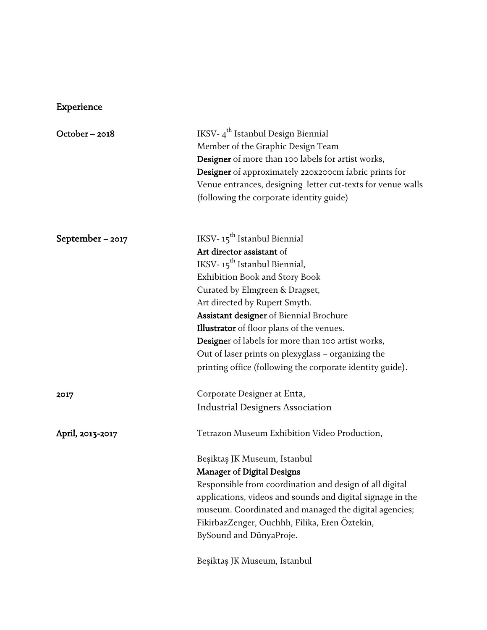# Experience

| October-2018       | IKSV-4 <sup>th</sup> Istanbul Design Biennial               |
|--------------------|-------------------------------------------------------------|
|                    | Member of the Graphic Design Team                           |
|                    | Designer of more than 100 labels for artist works,          |
|                    | Designer of approximately 220x200cm fabric prints for       |
|                    | Venue entrances, designing letter cut-texts for venue walls |
|                    | (following the corporate identity guide)                    |
| September – $2017$ | IKSV-15 <sup>th</sup> Istanbul Biennial                     |
|                    | Art director assistant of                                   |
|                    | IKSV-15 <sup>th</sup> Istanbul Biennial,                    |
|                    | Exhibition Book and Story Book                              |
|                    | Curated by Elmgreen & Dragset,                              |
|                    | Art directed by Rupert Smyth.                               |
|                    | Assistant designer of Biennial Brochure                     |
|                    | <b>Illustrator</b> of floor plans of the venues.            |
|                    | Designer of labels for more than 100 artist works,          |
|                    | Out of laser prints on plexyglass - organizing the          |
|                    | printing office (following the corporate identity guide).   |
| 2017               | Corporate Designer at Enta,                                 |
|                    | <b>Industrial Designers Association</b>                     |
| April, 2013-2017   | Tetrazon Museum Exhibition Video Production,                |
|                    | Beşiktaş JK Museum, Istanbul                                |
|                    | <b>Manager of Digital Designs</b>                           |
|                    | Responsible from coordination and design of all digital     |
|                    | applications, videos and sounds and digital signage in the  |
|                    | museum. Coordinated and managed the digital agencies;       |
|                    | FikirbazZenger, Ouchhh, Filika, Eren Öztekin,               |
|                    | BySound and DünyaProje.                                     |
|                    | Beşiktaş JK Museum, Istanbul                                |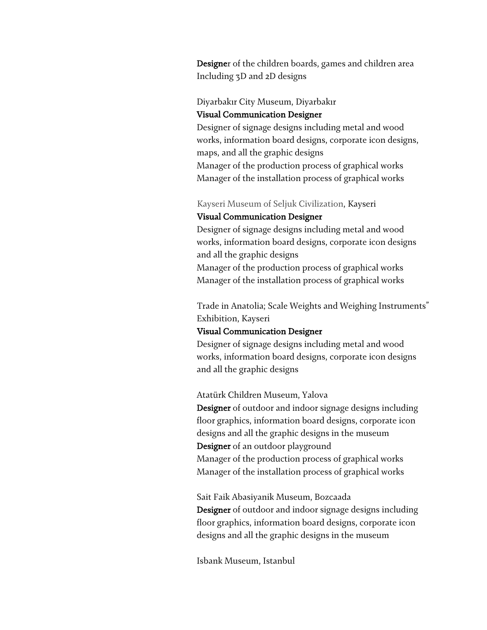Designer of the children boards, games and children area Including 3D and 2D designs

#### Diyarbakır City Museum, Diyarbakır Visual Communication Designer

Designer of signage designs including metal and wood works, information board designs, corporate icon designs, maps, and all the graphic designs

Manager of the production process of graphical works Manager of the installation process of graphical works

Kayseri Museum of Seljuk Civilization, Kayseri Visual Communication Designer

Designer of signage designs including metal and wood works, information board designs, corporate icon designs and all the graphic designs

Manager of the production process of graphical works Manager of the installation process of graphical works

Trade in Anatolia; Scale Weights and Weighing Instruments" Exhibition, Kayseri

#### Visual Communication Designer

Designer of signage designs including metal and wood works, information board designs, corporate icon designs and all the graphic designs

Atatürk Children Museum, Yalova

Designer of outdoor and indoor signage designs including floor graphics, information board designs, corporate icon designs and all the graphic designs in the museum Designer of an outdoor playground Manager of the production process of graphical works Manager of the installation process of graphical works

Sait Faik Abasiyanik Museum, Bozcaada **Designer** of outdoor and indoor signage designs including floor graphics, information board designs, corporate icon designs and all the graphic designs in the museum

Isbank Museum, Istanbul